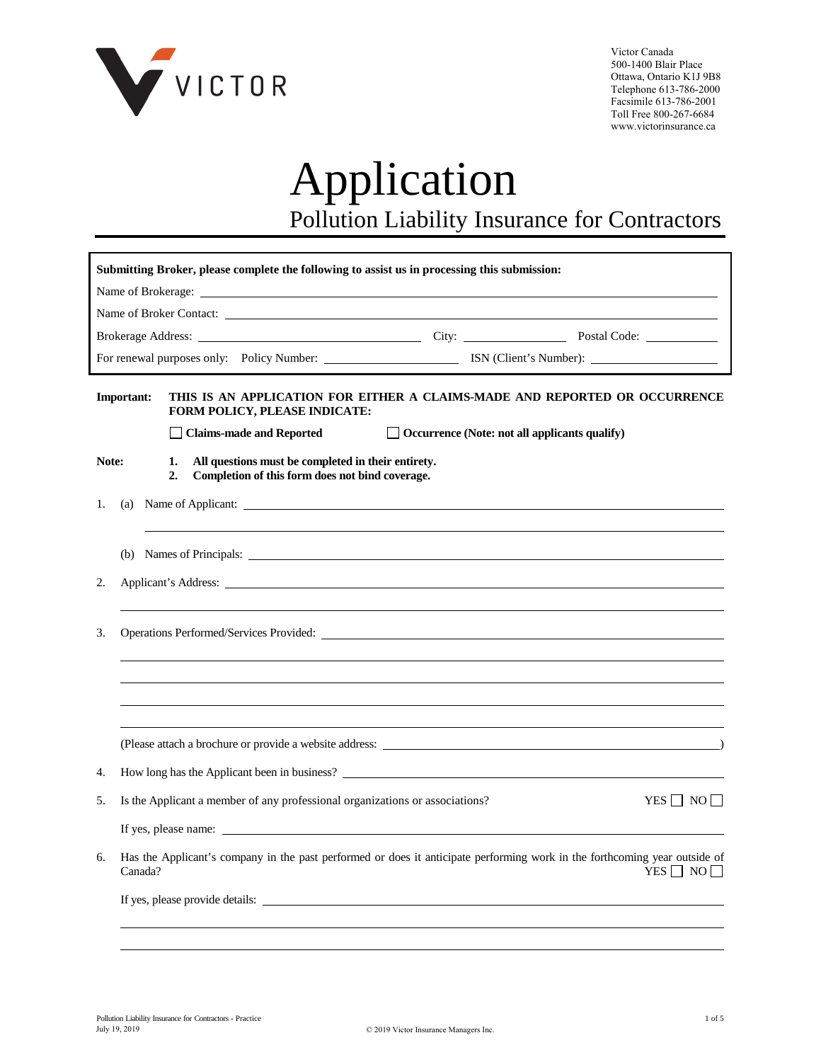

Victor Canada 500-1400 Blair Place Ottawa, Ontario K1J 9B8 Telephone 613-786-2000 Facsimile 613-786-2001 Toll Free 800-267-6684 www.victorinsurance.ca

# Application Pollution Liability Insurance for Contractors

|                                                 | Submitting Broker, please complete the following to assist us in processing this submission:                                                                                                                                         |  |  |  |  |
|-------------------------------------------------|--------------------------------------------------------------------------------------------------------------------------------------------------------------------------------------------------------------------------------------|--|--|--|--|
|                                                 |                                                                                                                                                                                                                                      |  |  |  |  |
| Name of Broker Contact: Name of Broker Contact: |                                                                                                                                                                                                                                      |  |  |  |  |
|                                                 |                                                                                                                                                                                                                                      |  |  |  |  |
|                                                 |                                                                                                                                                                                                                                      |  |  |  |  |
|                                                 | <b>Important:</b><br>THIS IS AN APPLICATION FOR EITHER A CLAIMS-MADE AND REPORTED OR OCCURRENCE<br><b>FORM POLICY, PLEASE INDICATE:</b>                                                                                              |  |  |  |  |
|                                                 | $\Box$ Occurrence (Note: not all applicants qualify)<br>  Claims-made and Reported                                                                                                                                                   |  |  |  |  |
|                                                 | Note:<br>All questions must be completed in their entirety.<br>1.<br>Completion of this form does not bind coverage.<br>2.                                                                                                           |  |  |  |  |
| 1.                                              | (a)                                                                                                                                                                                                                                  |  |  |  |  |
|                                                 |                                                                                                                                                                                                                                      |  |  |  |  |
| 2.                                              | Applicant's Address: <u>the contract of the contract of the contract of the contract of the contract of the contract of the contract of the contract of the contract of the contract of the contract of the contract of the cont</u> |  |  |  |  |
|                                                 |                                                                                                                                                                                                                                      |  |  |  |  |
| 3.                                              | Operations Performed/Services Provided:                                                                                                                                                                                              |  |  |  |  |
|                                                 |                                                                                                                                                                                                                                      |  |  |  |  |
|                                                 |                                                                                                                                                                                                                                      |  |  |  |  |
|                                                 |                                                                                                                                                                                                                                      |  |  |  |  |
|                                                 |                                                                                                                                                                                                                                      |  |  |  |  |
| 4.                                              | How long has the Applicant been in business?                                                                                                                                                                                         |  |  |  |  |
| 5.                                              | Is the Applicant a member of any professional organizations or associations?<br>YES $\Box$ NO $\Box$                                                                                                                                 |  |  |  |  |
|                                                 | If yes, please name:                                                                                                                                                                                                                 |  |  |  |  |
| 6.                                              | Has the Applicant's company in the past performed or does it anticipate performing work in the forthcoming year outside of<br>YES $\Box$ NO $\Box$<br>Canada?                                                                        |  |  |  |  |
|                                                 | If yes, please provide details:                                                                                                                                                                                                      |  |  |  |  |
|                                                 |                                                                                                                                                                                                                                      |  |  |  |  |
|                                                 |                                                                                                                                                                                                                                      |  |  |  |  |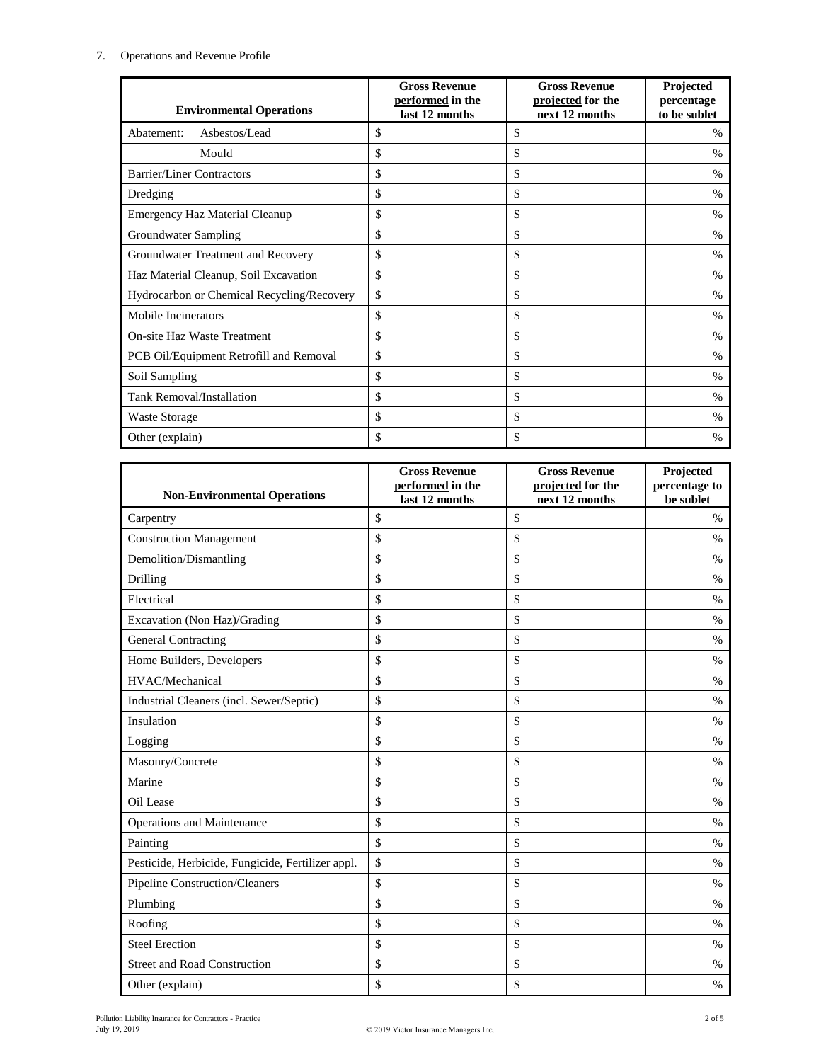## 7. Operations and Revenue Profile

| <b>Environmental Operations</b>            | <b>Gross Revenue</b><br>performed in the<br>last 12 months | <b>Gross Revenue</b><br>projected for the<br>next 12 months | Projected<br>percentage<br>to be sublet |
|--------------------------------------------|------------------------------------------------------------|-------------------------------------------------------------|-----------------------------------------|
| Asbestos/Lead<br>Abatement:                | \$                                                         | \$                                                          | $\%$                                    |
| Mould                                      | \$                                                         | \$                                                          | $\%$                                    |
| <b>Barrier/Liner Contractors</b>           | \$                                                         | \$                                                          | $\%$                                    |
| Dredging                                   | \$                                                         | \$                                                          | $\%$                                    |
| <b>Emergency Haz Material Cleanup</b>      | \$                                                         | \$                                                          | $\%$                                    |
| Groundwater Sampling                       | \$                                                         | \$                                                          | $\%$                                    |
| Groundwater Treatment and Recovery         | \$                                                         | \$                                                          | $\%$                                    |
| Haz Material Cleanup, Soil Excavation      | \$                                                         | \$                                                          | $\%$                                    |
| Hydrocarbon or Chemical Recycling/Recovery | $\mathsf{\$}$                                              | \$                                                          | $\%$                                    |
| Mobile Incinerators                        | \$                                                         | \$                                                          | $\%$                                    |
| <b>On-site Haz Waste Treatment</b>         | \$                                                         | \$                                                          | $\%$                                    |
| PCB Oil/Equipment Retrofill and Removal    | \$                                                         | \$                                                          | $\%$                                    |
| Soil Sampling                              | \$                                                         | \$                                                          | $\%$                                    |
| <b>Tank Removal/Installation</b>           | \$                                                         | \$                                                          | $\%$                                    |
| Waste Storage                              | \$                                                         | \$                                                          | $\%$                                    |
| Other (explain)                            | \$                                                         | \$                                                          | %                                       |

| <b>Non-Environmental Operations</b>               | <b>Gross Revenue</b><br>performed in the<br>last 12 months | <b>Gross Revenue</b><br>projected for the<br>next 12 months | Projected<br>percentage to<br>be sublet |
|---------------------------------------------------|------------------------------------------------------------|-------------------------------------------------------------|-----------------------------------------|
| Carpentry                                         | \$                                                         | \$                                                          | $\%$                                    |
| <b>Construction Management</b>                    | \$                                                         | \$                                                          | $\frac{0}{0}$                           |
| Demolition/Dismantling                            | \$                                                         | \$                                                          | $\%$                                    |
| Drilling                                          | \$                                                         | \$                                                          | $\frac{0}{0}$                           |
| Electrical                                        | \$                                                         | \$                                                          | $\%$                                    |
| Excavation (Non Haz)/Grading                      | \$                                                         | \$                                                          | $\%$                                    |
| <b>General Contracting</b>                        | \$                                                         | \$                                                          | $\%$                                    |
| Home Builders, Developers                         | \$                                                         | \$                                                          | $\%$                                    |
| HVAC/Mechanical                                   | \$                                                         | \$                                                          | $\%$                                    |
| Industrial Cleaners (incl. Sewer/Septic)          | \$                                                         | \$                                                          | $\%$                                    |
| Insulation                                        | \$                                                         | \$                                                          | $\frac{0}{0}$                           |
| Logging                                           | \$                                                         | \$                                                          | $\%$                                    |
| Masonry/Concrete                                  | \$                                                         | \$                                                          | $\%$                                    |
| Marine                                            | \$                                                         | \$                                                          | $\%$                                    |
| Oil Lease                                         | \$                                                         | \$                                                          | $\%$                                    |
| Operations and Maintenance                        | \$                                                         | \$                                                          | $\frac{0}{0}$                           |
| Painting                                          | \$                                                         | \$                                                          | $\%$                                    |
| Pesticide, Herbicide, Fungicide, Fertilizer appl. | \$                                                         | \$                                                          | $\%$                                    |
| Pipeline Construction/Cleaners                    | \$                                                         | \$                                                          | $\%$                                    |
| Plumbing                                          | \$                                                         | \$                                                          | $\%$                                    |
| Roofing                                           | \$                                                         | \$                                                          | $\%$                                    |
| <b>Steel Erection</b>                             | \$                                                         | \$                                                          | $\%$                                    |
| <b>Street and Road Construction</b>               | \$                                                         | \$                                                          | $\%$                                    |
| Other (explain)                                   | \$                                                         | \$                                                          | $\%$                                    |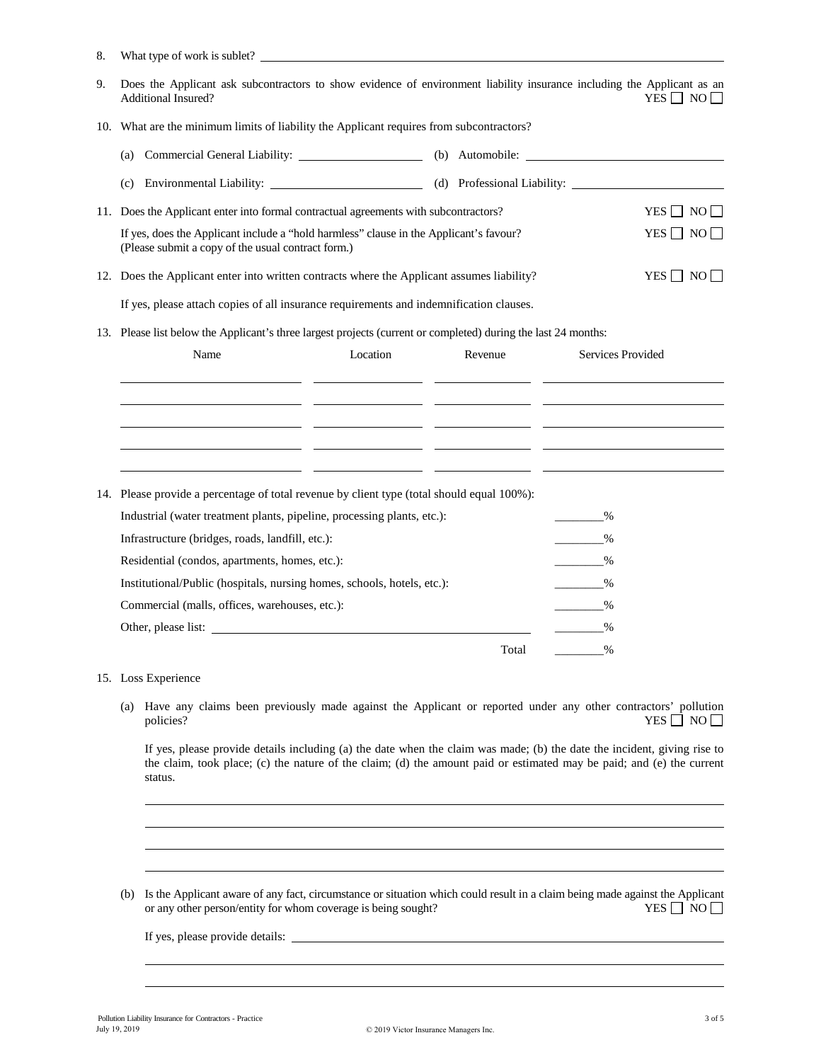| 8. | What type of work is sublet?                                                                                                                                                  |          |  |                 |                                                 |                      |
|----|-------------------------------------------------------------------------------------------------------------------------------------------------------------------------------|----------|--|-----------------|-------------------------------------------------|----------------------|
| 9. | Does the Applicant ask subcontractors to show evidence of environment liability insurance including the Applicant as an<br><b>Additional Insured?</b><br>YES $\Box$ NO $\Box$ |          |  |                 |                                                 |                      |
|    | 10. What are the minimum limits of liability the Applicant requires from subcontractors?                                                                                      |          |  |                 |                                                 |                      |
|    | (a)                                                                                                                                                                           |          |  | (b) Automobile: |                                                 |                      |
|    | Environmental Liability: (d) Professional Liability:<br>(c)                                                                                                                   |          |  |                 |                                                 |                      |
|    | 11. Does the Applicant enter into formal contractual agreements with subcontractors?                                                                                          |          |  |                 |                                                 | YES $\Box$ NO $\Box$ |
|    | If yes, does the Applicant include a "hold harmless" clause in the Applicant's favour?<br>(Please submit a copy of the usual contract form.)                                  |          |  |                 |                                                 | YES $\Box$ NO $\Box$ |
|    | 12. Does the Applicant enter into written contracts where the Applicant assumes liability?                                                                                    |          |  |                 |                                                 | $YES \Box NO \Box$   |
|    | If yes, please attach copies of all insurance requirements and indemnification clauses.                                                                                       |          |  |                 |                                                 |                      |
|    | 13. Please list below the Applicant's three largest projects (current or completed) during the last 24 months:                                                                |          |  |                 |                                                 |                      |
|    | Name                                                                                                                                                                          | Location |  | Revenue         | Services Provided                               |                      |
|    |                                                                                                                                                                               |          |  |                 |                                                 |                      |
|    |                                                                                                                                                                               |          |  |                 |                                                 |                      |
|    |                                                                                                                                                                               |          |  |                 |                                                 |                      |
|    |                                                                                                                                                                               |          |  |                 |                                                 |                      |
|    | 14. Please provide a percentage of total revenue by client type (total should equal 100%):                                                                                    |          |  |                 |                                                 |                      |
|    | Industrial (water treatment plants, pipeline, processing plants, etc.):                                                                                                       |          |  |                 | ____________%                                   |                      |
|    | Infrastructure (bridges, roads, landfill, etc.):                                                                                                                              |          |  |                 | ___________%                                    |                      |
|    | Residential (condos, apartments, homes, etc.):                                                                                                                                |          |  |                 | $\frac{9}{6}$                                   |                      |
|    | Institutional/Public (hospitals, nursing homes, schools, hotels, etc.):                                                                                                       |          |  |                 | $\%$                                            |                      |
|    | Commercial (malls, offices, warehouses, etc.):                                                                                                                                |          |  |                 | $\sim$ $\sim$ $\sim$ $\sim$                     |                      |
|    | Other, please list:                                                                                                                                                           |          |  |                 | $\sim$ $\sim$ $\sim$ $\sim$                     |                      |
|    |                                                                                                                                                                               |          |  | Total           | $\mathcal{L}^{\text{max}}_{\text{max}}$<br>$\%$ |                      |
|    | 15. Loss Experience                                                                                                                                                           |          |  |                 |                                                 |                      |

(a) Have any claims been previously made against the Applicant or reported under any other contractors' pollution policies?<br>  $YES \Box NO \Box$ YES  $\Box$  NO  $\Box$ 

If yes, please provide details including (a) the date when the claim was made; (b) the date the incident, giving rise to the claim, took place; (c) the nature of the claim; (d) the amount paid or estimated may be paid; and (e) the current status.

(b) Is the Applicant aware of any fact, circumstance or situation which could result in a claim being made against the Applicant or any other person/entity for whom coverage is being sought? YES  $\Box$  NO  $\Box$ or any other person/entity for whom coverage is being sought?

If yes, please provide details: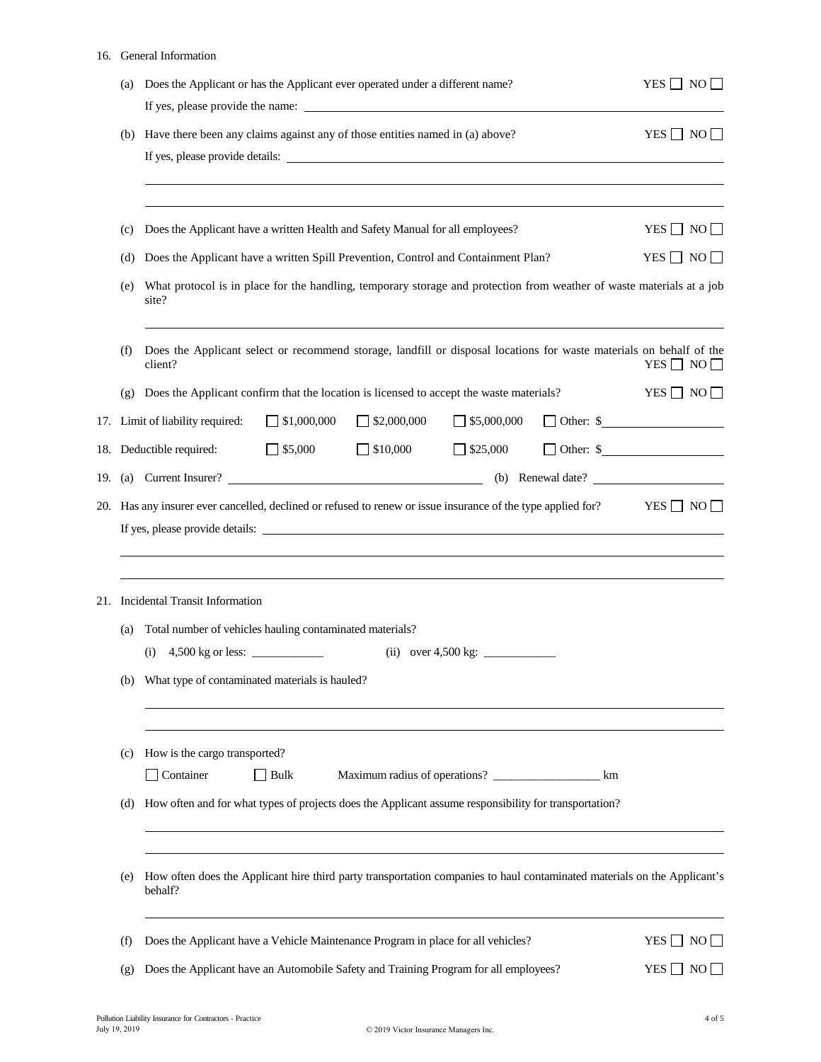#### 16. General Information

| (a) | YES $\Box$ NO $\Box$                                                                                                                |                                            |  |  |  |  |  |
|-----|-------------------------------------------------------------------------------------------------------------------------------------|--------------------------------------------|--|--|--|--|--|
| (b) | Have there been any claims against any of those entities named in (a) above?                                                        | YES $\Box$ NO $\Box$                       |  |  |  |  |  |
| (c) | Does the Applicant have a written Health and Safety Manual for all employees?                                                       | $YES \Box NO \Box$                         |  |  |  |  |  |
| (d) | Does the Applicant have a written Spill Prevention, Control and Containment Plan?                                                   | YES $\Box$ NO $\Box$                       |  |  |  |  |  |
| (e) | What protocol is in place for the handling, temporary storage and protection from weather of waste materials at a job               |                                            |  |  |  |  |  |
| (f) | Does the Applicant select or recommend storage, landfill or disposal locations for waste materials on behalf of the<br>client?      | YES $\Box$ NO $\Box$                       |  |  |  |  |  |
| (g) | Does the Applicant confirm that the location is licensed to accept the waste materials?                                             | $YES \Box NO \Box$                         |  |  |  |  |  |
|     | $\Box$ \$1,000,000<br>$\Box$ \$2,000,000<br>$\Box$ \$5,000,000<br>17. Limit of liability required:                                  | $\Box$ Other: $\$\underline{\hspace{2cm}}$ |  |  |  |  |  |
|     | $\Box$ \$10,000<br>18. Deductible required: 55,000<br>$\Box$ \$25,000                                                               | $\Box$ Other: $\$\underline{\hspace{1cm}}$ |  |  |  |  |  |
|     |                                                                                                                                     |                                            |  |  |  |  |  |
|     |                                                                                                                                     |                                            |  |  |  |  |  |
| (a) | 21. Incidental Transit Information<br>Total number of vehicles hauling contaminated materials?                                      |                                            |  |  |  |  |  |
|     | 4,500 kg or less: $\frac{1}{2}$<br>(i)                                                                                              |                                            |  |  |  |  |  |
| (b) | What type of contaminated materials is hauled?                                                                                      |                                            |  |  |  |  |  |
| (c) | How is the cargo transported?<br>Container<br>Maximum radius of operations? __________________________ km<br>Bulk                   |                                            |  |  |  |  |  |
| (d) | How often and for what types of projects does the Applicant assume responsibility for transportation?                               |                                            |  |  |  |  |  |
| (e) | How often does the Applicant hire third party transportation companies to haul contaminated materials on the Applicant's<br>behalf? |                                            |  |  |  |  |  |
| (f) | Does the Applicant have a Vehicle Maintenance Program in place for all vehicles?                                                    | $YES \Box NO \Box$                         |  |  |  |  |  |
| (g) | Does the Applicant have an Automobile Safety and Training Program for all employees?                                                | YES $\Box$ NO $\Box$                       |  |  |  |  |  |